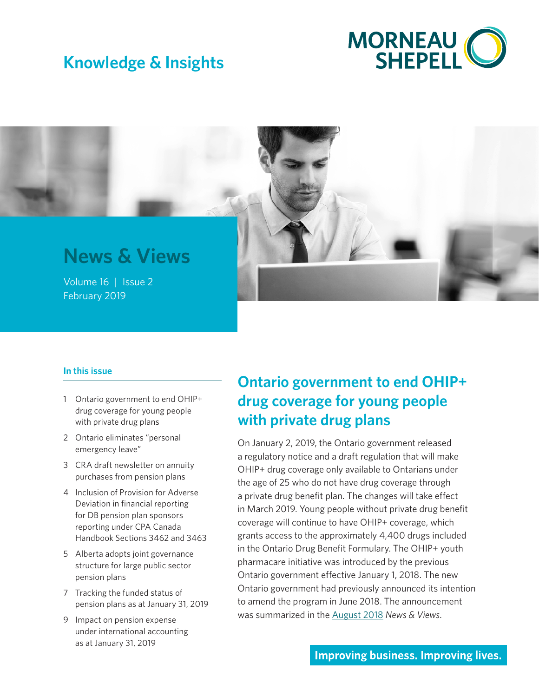# **Knowledge & Insights**



# **News & Views**

Volume 16 | Issue 2<br>February 2019 February 2019

#### **In this issue**

- 1 Ontario government to end OHIP+ drug coverage for young people with private drug plans
- 2 [Ontario eliminates "personal](#page-1-0)  [emergency leave"](#page-1-0)
- 3 [CRA draft newsletter on annuity](#page-2-0)  [purchases from pension plans](#page-2-0)
- 4 [Inclusion of Provision for Adverse](#page-3-0)  [Deviation in financial reporting](#page-3-0)  [for DB pension plan sponsors](#page-3-0)  [reporting under CPA Canada](#page-3-0)  [Handbook Sections 3462 and 3463](#page-3-0)
- 5 [Alberta adopts joint governance](#page-4-0)  [structure for large public sector](#page-4-0)  [pension plans](#page-4-0)
- 7 [Tracking the funded status of](#page-6-0)  [pension plans as at January 31,](#page-6-0) 2019
- 9 [Impact on pension expense](#page-8-0)  [under international accounting](#page-8-0)  [as at January 31,](#page-8-0) 2019

## **Ontario government to end OHIP+ drug coverage for young people with private drug plans**

On January 2, 2019, the Ontario government released a regulatory notice and a draft regulation that will make OHIP+ drug coverage only available to Ontarians under the age of 25 who do not have drug coverage through a private drug benefit plan. The changes will take effect in March 2019. Young people without private drug benefit coverage will continue to have OHIP+ coverage, which grants access to the approximately 4,400 drugs included in the Ontario Drug Benefit Formulary. The OHIP+ youth pharmacare initiative was introduced by the previous Ontario government effective January 1, 2018. The new Ontario government had previously announced its intention to amend the program in June 2018. The announcement was summarized in the [August 2018](https://www.morneaushepell.com/ca-en/insights/ohip-changes-announced-new-ontario-government) *News & Views*.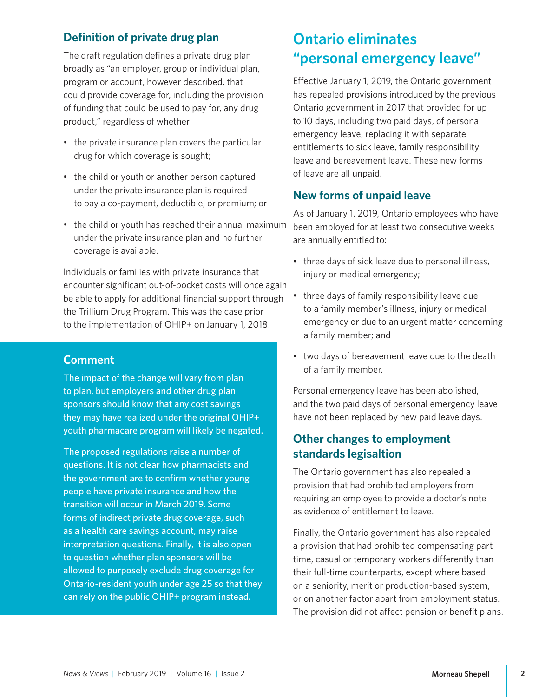## <span id="page-1-0"></span>**Definition of private drug plan**

The draft regulation defines a private drug plan broadly as "an employer, group or individual plan, program or account, however described, that could provide coverage for, including the provision of funding that could be used to pay for, any drug product," regardless of whether:

- the private insurance plan covers the particular drug for which coverage is sought;
- the child or youth or another person captured under the private insurance plan is required to pay a co-payment, deductible, or premium; or
- the child or youth has reached their annual maximum under the private insurance plan and no further coverage is available.

Individuals or families with private insurance that encounter significant out-of-pocket costs will once again be able to apply for additional financial support through the Trillium Drug Program. This was the case prior to the implementation of OHIP+ on January 1, 2018.

#### **Comment**

The impact of the change will vary from plan to plan, but employers and other drug plan sponsors should know that any cost savings they may have realized under the original OHIP+ youth pharmacare program will likely be negated.

The proposed regulations raise a number of questions. It is not clear how pharmacists and the government are to confirm whether young people have private insurance and how the transition will occur in March 2019. Some forms of indirect private drug coverage, such as a health care savings account, may raise interpretation questions. Finally, it is also open to question whether plan sponsors will be allowed to purposely exclude drug coverage for Ontario-resident youth under age 25 so that they can rely on the public OHIP+ program instead.

## **Ontario eliminates "personal emergency leave"**

Effective January 1, 2019, the Ontario government has repealed provisions introduced by the previous Ontario government in 2017 that provided for up to 10 days, including two paid days, of personal emergency leave, replacing it with separate entitlements to sick leave, family responsibility leave and bereavement leave. These new forms of leave are all unpaid.

#### **New forms of unpaid leave**

As of January 1, 2019, Ontario employees who have been employed for at least two consecutive weeks are annually entitled to:

- three days of sick leave due to personal illness, injury or medical emergency;
- three days of family responsibility leave due to a family member's illness, injury or medical emergency or due to an urgent matter concerning a family member; and
- two days of bereavement leave due to the death of a family member.

Personal emergency leave has been abolished, and the two paid days of personal emergency leave have not been replaced by new paid leave days.

## **Other changes to employment standards legisaltion**

The Ontario government has also repealed a provision that had prohibited employers from requiring an employee to provide a doctor's note as evidence of entitlement to leave.

Finally, the Ontario government has also repealed a provision that had prohibited compensating parttime, casual or temporary workers differently than their full-time counterparts, except where based on a seniority, merit or production-based system, or on another factor apart from employment status. The provision did not affect pension or benefit plans.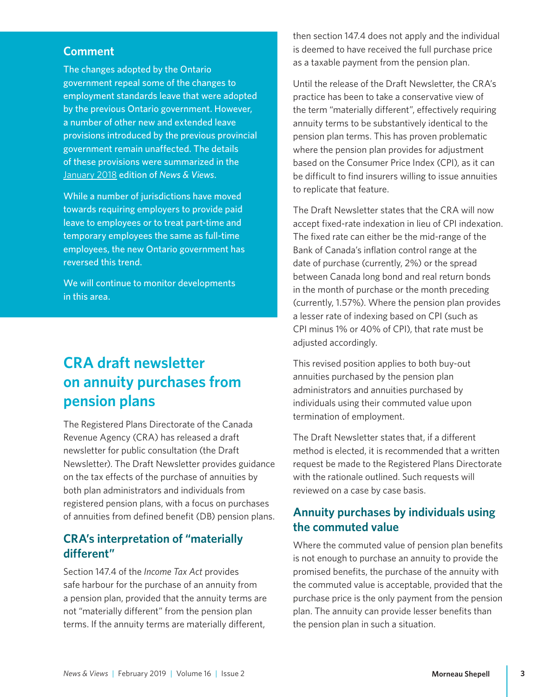#### <span id="page-2-0"></span>**Comment**

The changes adopted by the Ontario government repeal some of the changes to employment standards leave that were adopted by the previous Ontario government. However, a number of other new and extended leave provisions introduced by the previous provincial government remain unaffected. The details of these provisions were summarized in the [January 2018](https://www.morneaushepell.com/ca-en/insights/leaves-absence-updated-rules-affecting-pension-and-benefit-plans) edition of *News & Views*.

While a number of jurisdictions have moved towards requiring employers to provide paid leave to employees or to treat part-time and temporary employees the same as full-time employees, the new Ontario government has reversed this trend.

We will continue to monitor developments in this area.

## **CRA draft newsletter on annuity purchases from pension plans**

The Registered Plans Directorate of the Canada Revenue Agency (CRA) has released a draft newsletter for public consultation (the Draft Newsletter). The Draft Newsletter provides guidance on the tax effects of the purchase of annuities by both plan administrators and individuals from registered pension plans, with a focus on purchases of annuities from defined benefit (DB) pension plans.

#### **CRA's interpretation of "materially different"**

Section 147.4 of the *Income Tax Act* provides safe harbour for the purchase of an annuity from a pension plan, provided that the annuity terms are not "materially different" from the pension plan terms. If the annuity terms are materially different,

then section 147.4 does not apply and the individual is deemed to have received the full purchase price as a taxable payment from the pension plan.

Until the release of the Draft Newsletter, the CRA's practice has been to take a conservative view of the term "materially different", effectively requiring annuity terms to be substantively identical to the pension plan terms. This has proven problematic where the pension plan provides for adjustment based on the Consumer Price Index (CPI), as it can be difficult to find insurers willing to issue annuities to replicate that feature.

The Draft Newsletter states that the CRA will now accept fixed-rate indexation in lieu of CPI indexation. The fixed rate can either be the mid-range of the Bank of Canada's inflation control range at the date of purchase (currently, 2%) or the spread between Canada long bond and real return bonds in the month of purchase or the month preceding (currently, 1.57%). Where the pension plan provides a lesser rate of indexing based on CPI (such as CPI minus 1% or 40% of CPI), that rate must be adjusted accordingly.

This revised position applies to both buy-out annuities purchased by the pension plan administrators and annuities purchased by individuals using their commuted value upon termination of employment.

The Draft Newsletter states that, if a different method is elected, it is recommended that a written request be made to the Registered Plans Directorate with the rationale outlined. Such requests will reviewed on a case by case basis.

## **Annuity purchases by individuals using the commuted value**

Where the commuted value of pension plan benefits is not enough to purchase an annuity to provide the promised benefits, the purchase of the annuity with the commuted value is acceptable, provided that the purchase price is the only payment from the pension plan. The annuity can provide lesser benefits than the pension plan in such a situation.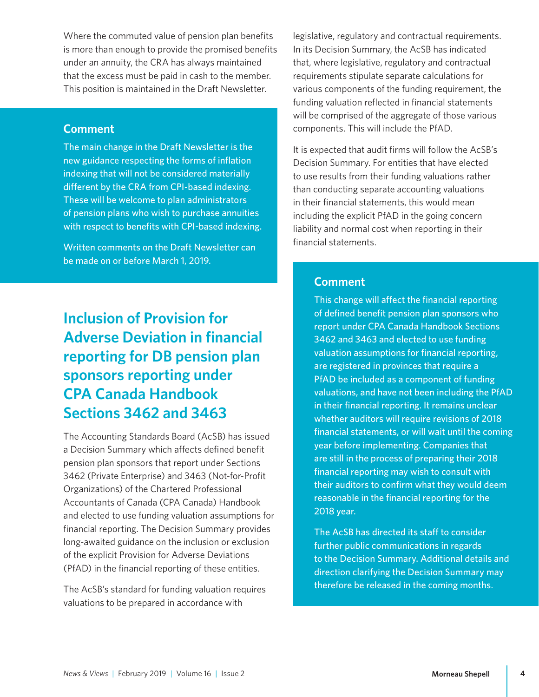<span id="page-3-0"></span>Where the commuted value of pension plan benefits is more than enough to provide the promised benefits under an annuity, the CRA has always maintained that the excess must be paid in cash to the member. This position is maintained in the Draft Newsletter.

#### **Comment**

The main change in the Draft Newsletter is the new guidance respecting the forms of inflation indexing that will not be considered materially different by the CRA from CPI-based indexing. These will be welcome to plan administrators of pension plans who wish to purchase annuities with respect to benefits with CPI-based indexing.

Written comments on the Draft Newsletter can be made on or before March 1, 2019.

# **Inclusion of Provision for Adverse Deviation in financial reporting for DB pension plan sponsors reporting under CPA Canada Handbook Sections 3462 and 3463**

The Accounting Standards Board (AcSB) has issued a Decision Summary which affects defined benefit pension plan sponsors that report under Sections 3462 (Private Enterprise) and 3463 (Not-for-Profit Organizations) of the Chartered Professional Accountants of Canada (CPA Canada) Handbook and elected to use funding valuation assumptions for financial reporting. The Decision Summary provides long-awaited guidance on the inclusion or exclusion of the explicit Provision for Adverse Deviations (PfAD) in the financial reporting of these entities.

The AcSB's standard for funding valuation requires valuations to be prepared in accordance with

legislative, regulatory and contractual requirements. In its Decision Summary, the AcSB has indicated that, where legislative, regulatory and contractual requirements stipulate separate calculations for various components of the funding requirement, the funding valuation reflected in financial statements will be comprised of the aggregate of those various components. This will include the PfAD.

It is expected that audit firms will follow the AcSB's Decision Summary. For entities that have elected to use results from their funding valuations rather than conducting separate accounting valuations in their financial statements, this would mean including the explicit PfAD in the going concern liability and normal cost when reporting in their financial statements.

#### **Comment**

This change will affect the financial reporting of defined benefit pension plan sponsors who report under CPA Canada Handbook Sections 3462 and 3463 and elected to use funding valuation assumptions for financial reporting, are registered in provinces that require a PfAD be included as a component of funding valuations, and have not been including the PfAD in their financial reporting. It remains unclear whether auditors will require revisions of 2018 financial statements, or will wait until the coming year before implementing. Companies that are still in the process of preparing their 2018 financial reporting may wish to consult with their auditors to confirm what they would deem reasonable in the financial reporting for the 2018 year.

The AcSB has directed its staff to consider further public communications in regards to the Decision Summary. Additional details and direction clarifying the Decision Summary may therefore be released in the coming months.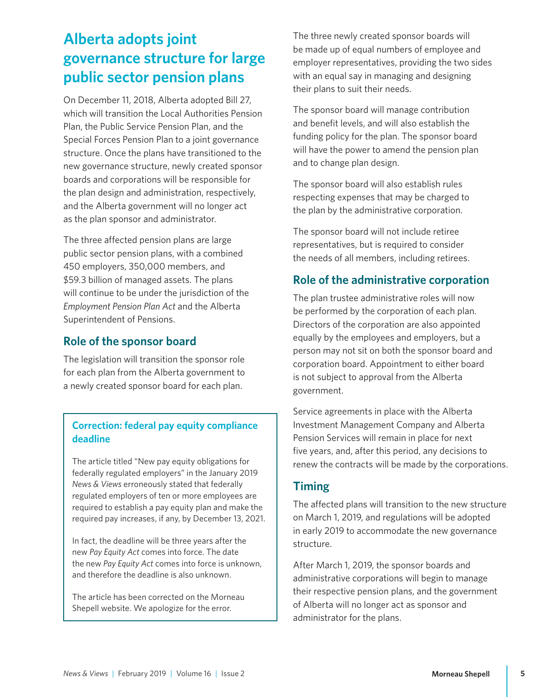# <span id="page-4-0"></span>**Alberta adopts joint governance structure for large public sector pension plans**

On December 11, 2018, Alberta adopted Bill 27, which will transition the Local Authorities Pension Plan, the Public Service Pension Plan, and the Special Forces Pension Plan to a joint governance structure. Once the plans have transitioned to the new governance structure, newly created sponsor boards and corporations will be responsible for the plan design and administration, respectively, and the Alberta government will no longer act as the plan sponsor and administrator.

The three affected pension plans are large public sector pension plans, with a combined 450 employers, 350,000 members, and \$59.3 billion of managed assets. The plans will continue to be under the jurisdiction of the *Employment Pension Plan Act* and the Alberta Superintendent of Pensions.

## **Role of the sponsor board**

The legislation will transition the sponsor role for each plan from the Alberta government to a newly created sponsor board for each plan.

#### **Correction: federal pay equity compliance deadline**

The article titled "New pay equity obligations for federally regulated employers" in the January 2019 *News & Views* erroneously stated that federally regulated employers of ten or more employees are required to establish a pay equity plan and make the required pay increases, if any, by December 13, 2021.

In fact, the deadline will be three years after the new *Pay Equity Act* comes into force. The date the new *Pay Equity Act* comes into force is unknown, and therefore the deadline is also unknown.

The article has been corrected on the Morneau Shepell website. We apologize for the error.

The three newly created sponsor boards will be made up of equal numbers of employee and employer representatives, providing the two sides with an equal say in managing and designing their plans to suit their needs.

The sponsor board will manage contribution and benefit levels, and will also establish the funding policy for the plan. The sponsor board will have the power to amend the pension plan and to change plan design.

The sponsor board will also establish rules respecting expenses that may be charged to the plan by the administrative corporation.

The sponsor board will not include retiree representatives, but is required to consider the needs of all members, including retirees.

## **Role of the administrative corporation**

The plan trustee administrative roles will now be performed by the corporation of each plan. Directors of the corporation are also appointed equally by the employees and employers, but a person may not sit on both the sponsor board and corporation board. Appointment to either board is not subject to approval from the Alberta government.

Service agreements in place with the Alberta Investment Management Company and Alberta Pension Services will remain in place for next five years, and, after this period, any decisions to renew the contracts will be made by the corporations.

#### **Timing**

The affected plans will transition to the new structure on March 1, 2019, and regulations will be adopted in early 2019 to accommodate the new governance structure.

After March 1, 2019, the sponsor boards and administrative corporations will begin to manage their respective pension plans, and the government of Alberta will no longer act as sponsor and administrator for the plans.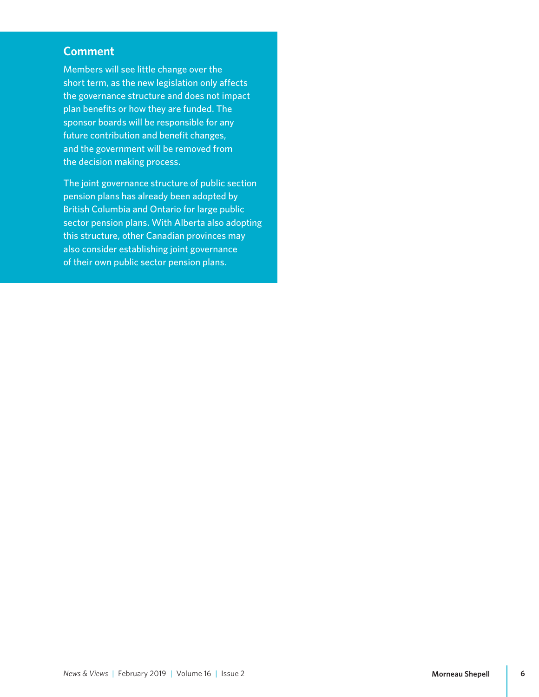#### **Comment**

Members will see little change over the short term, as the new legislation only affects the governance structure and does not impact plan benefits or how they are funded. The sponsor boards will be responsible for any future contribution and benefit changes, and the government will be removed from the decision making process.

The joint governance structure of public section pension plans has already been adopted by British Columbia and Ontario for large public sector pension plans. With Alberta also adopting this structure, other Canadian provinces may also consider establishing joint governance of their own public sector pension plans.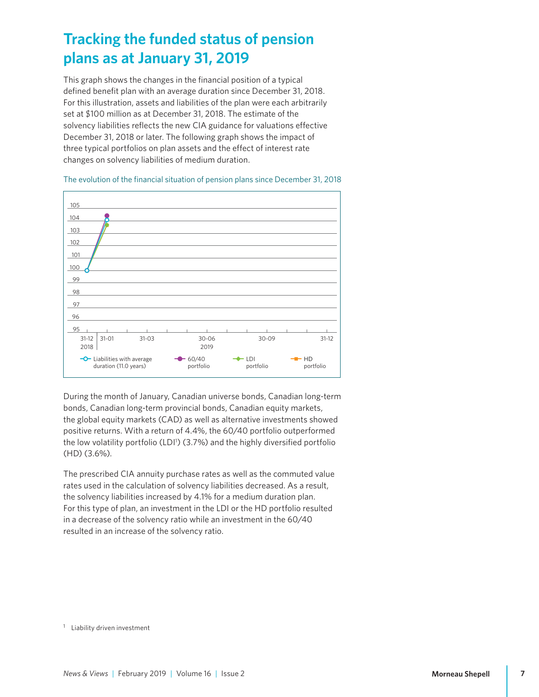## <span id="page-6-0"></span>**Tracking the funded status of pension plans as at January 31, 2019**

This graph shows the changes in the financial position of a typical defined benefit plan with an average duration since December 31, 2018. For this illustration, assets and liabilities of the plan were each arbitrarily set at \$100 million as at December 31, 2018. The estimate of the solvency liabilities reflects the new CIA guidance for valuations effective December 31, 2018 or later. The following graph shows the impact of three typical portfolios on plan assets and the effect of interest rate changes on solvency liabilities of medium duration.

The evolution of the financial situation of pension plans since December 31, 2018



During the month of January, Canadian universe bonds, Canadian long-term bonds, Canadian long-term provincial bonds, Canadian equity markets, the global equity markets (CAD) as well as alternative investments showed positive returns. With a return of 4.4%, the 60/40 portfolio outperformed the low volatility portfolio (LDI1 ) (3.7%) and the highly diversified portfolio (HD) (3.6%).

The prescribed CIA annuity purchase rates as well as the commuted value rates used in the calculation of solvency liabilities decreased. As a result, the solvency liabilities increased by 4.1% for a medium duration plan. For this type of plan, an investment in the LDI or the HD portfolio resulted in a decrease of the solvency ratio while an investment in the 60/40 resulted in an increase of the solvency ratio.

<sup>1</sup> Liability driven investment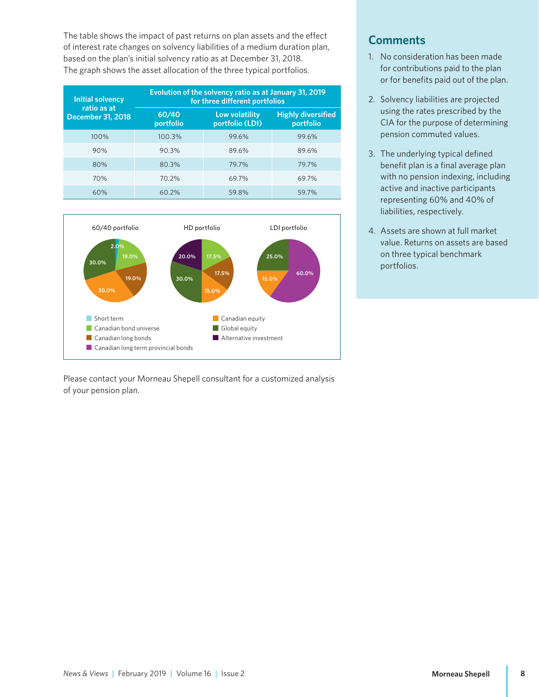The table shows the impact of past returns on plan assets and the effect of interest rate changes on solvency liabilities of a medium duration plan, based on the plan's initial solvency ratio as at December 31, 2018. The graph shows the asset allocation of the three typical portfolios.

| <b>Initial solvency</b><br>ratio as at<br><b>December 31, 2018</b> | Evolution of the solvency ratio as at January 31, 2019<br>for three different portfolios |                                   |                                        |
|--------------------------------------------------------------------|------------------------------------------------------------------------------------------|-----------------------------------|----------------------------------------|
|                                                                    | 60/40<br>portfolio                                                                       | Low volatility<br>portfolio (LDI) | <b>Highly diversified</b><br>portfolio |
| 100%                                                               | 100.3%                                                                                   | 99.6%                             | 99.6%                                  |
| 90%                                                                | 90.3%                                                                                    | 89.6%                             | 89.6%                                  |
| 80%                                                                | 80.3%                                                                                    | 79.7%                             | 79.7%                                  |
| 70%                                                                | 70.2%                                                                                    | 69.7%                             | 69.7%                                  |
| 60%                                                                | 60.2%                                                                                    | 59.8%                             | 59.7%                                  |



Please contact your Morneau Shepell consultant for a customized analysis of your pension plan.

## **Comments**

- 1. No consideration has been made for contributions paid to the plan or for benefits paid out of the plan.
- 2. Solvency liabilities are projected using the rates prescribed by the CIA for the purpose of determining pension commuted values.
- 3. The underlying typical defined benefit plan is a final average plan with no pension indexing, including active and inactive participants representing 60% and 40% of liabilities, respectively.
- 4. Assets are shown at full market value. Returns on assets are based on three typical benchmark portfolios.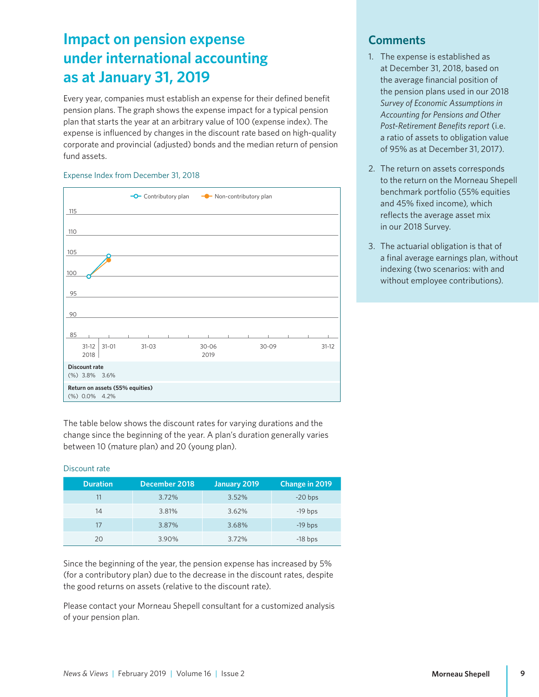# <span id="page-8-0"></span>**Impact on pension expense under international accounting as at January 31, 2019**

Every year, companies must establish an expense for their defined benefit pension plans. The graph shows the expense impact for a typical pension plan that starts the year at an arbitrary value of 100 (expense index). The expense is influenced by changes in the discount rate based on high-quality corporate and provincial (adjusted) bonds and the median return of pension fund assets.

#### Expense Index from December 31, 2018



The table below shows the discount rates for varying durations and the change since the beginning of the year. A plan's duration generally varies between 10 (mature plan) and 20 (young plan).

#### Discount rate

| <b>Duration</b> | December 2018 | January 2019 | Change in 2019 |
|-----------------|---------------|--------------|----------------|
| 11              | 3.72%         | 3.52%        | $-20$ bps      |
| 14              | 3.81%         | 3.62%        | $-19$ bps      |
| 17              | 3.87%         | 3.68%        | $-19$ bps      |
| 20              | 3.90%         | 3.72%        | $-18$ bps      |

Since the beginning of the year, the pension expense has increased by 5% (for a contributory plan) due to the decrease in the discount rates, despite the good returns on assets (relative to the discount rate).

Please contact your Morneau Shepell consultant for a customized analysis of your pension plan.

#### **Comments**

- 1. The expense is established as at December 31, 2018, based on the average financial position of the pension plans used in our 2018 *Survey of Economic Assumptions in Accounting for Pensions and Other Post-Retirement Benefits report* (i.e. a ratio of assets to obligation value of 95% as at December 31, 2017).
- 2. The return on assets corresponds to the return on the Morneau Shepell benchmark portfolio (55% equities and 45% fixed income), which reflects the average asset mix in our 2018 Survey.
- 3. The actuarial obligation is that of a final average earnings plan, without indexing (two scenarios: with and without employee contributions).